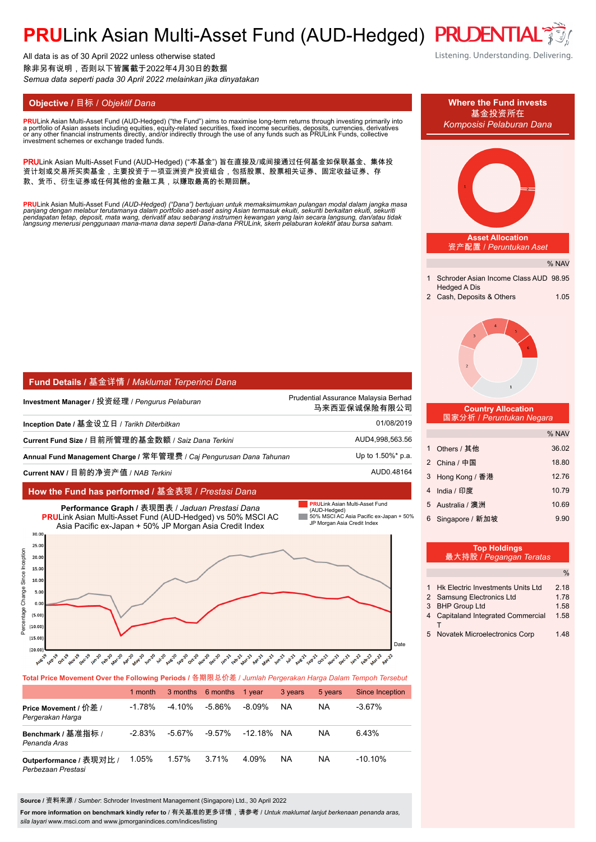# **PRULink Asian Multi-Asset Fund (AUD-Hedged) PRUDENTIA**

All data is as of 30 April 2022 unless otherwise stated 除非另有说明,否则以下皆属截于2022年4月30日的数据 *Semua data seperti pada 30 April 2022 melainkan jika dinyatakan*

**PRU**Link Asian Multi-Asset Fund (AUD-Hedged) ("the Fund") aims to maximise long-term returns through investing primarily into<br>a nortfolio of Asian assets including equities, equity-related securities, fixed income securit a portfolio of Asian assets including equities, equity-related securities, fixed income securities, deposits, currencies, derivatives<br>or any other financial instruments directly, and/or indirectly through the use of any fu

PRULink Asian Multi-Asset Fund (AUD-Hedged) ("本基金") 旨在直接及/或间接通过任何基金如保联基金、集体投 资计划或交易所买卖基金,主要投资于一项亚洲资产投资组合,包括股票、股票相关证券、固定收益证券、存 款、货币、衍生证券或任何其他的金融工具,以赚取最高的长期回酬。

<mark>PRU</mark>Link Asian Multi-Asset Fund (AUD-Hedged) ("Dana") bertujuan untuk memaksimumkan pulangan modal dalam jangka masa<br>panjang dengan melabur terutamanya dalam portfolio aset-aset asing Asian termasuk ekuiti, sekuriti berka

| Fund Details / 基金详情 / Maklumat Terperinci Dana                      |                                                      |  |  |
|---------------------------------------------------------------------|------------------------------------------------------|--|--|
| Investment Manager / 投资经理 / <i>Penqurus Pelaburan</i>               | Prudential Assurance Malaysia Berhad<br>马来西亚保诚保险有限公司 |  |  |
| Inception Date / 基金设立日 / <i>Tarikh Diterbitkan</i>                  | 01/08/2019                                           |  |  |
| Current Fund Size / 目前所管理的基金数额 / Saiz Dana Terkini                  | AUD4,998,563.56                                      |  |  |
| Annual Fund Management Charge / 常年管理费 / Caj Pengurusan Dana Tahunan | Up to 1.50%* p.a.                                    |  |  |
| Current NAV / 目前的净资产值 / NAB <i>Terkini</i>                          | AUD0.48164                                           |  |  |

#### **How the Fund has performed /** 基金表现 / *Prestasi Dana*



#### **Total Price Movement Over the Following Periods /** 各期限总价差 / *Jumlah Pergerakan Harga Dalam Tempoh Tersebut*

|                                               | 1 month   |           | 3 months 6 months | 1 vear  | 3 years | 5 years | Since Inception |
|-----------------------------------------------|-----------|-----------|-------------------|---------|---------|---------|-----------------|
| Price Movement / 价差 /<br>Pergerakan Harga     | $-1.78\%$ | $-4.10\%$ | -5.86%            | -8.09%  | NA      | NA      | $-3.67\%$       |
| Benchmark / 基准指标 /<br>Penanda Aras            | $-2.83%$  | -5.67%    | $-9.57\%$         | -12.18% | NA.     | NA      | 6.43%           |
| Outperformance / 表现对比 /<br>Perbezaan Prestasi | 1.05%     | 1.57%     | 3.71%             | 4 0.9%  | NA      | NA      | $-10.10\%$      |

**Source /** 资料来源 / *Sumber*: Schroder Investment Management (Singapore) Ltd., 30 April 2022

For more information on benchmark kindly refer to / 有关基准的更多详情,请参考 / *Untuk maklumat lanjut berkenaan penanda aras*, *sila layari* www.msci.com and www.jpmorganindices.com/indices/listing

Listening. Understanding. Delivering.

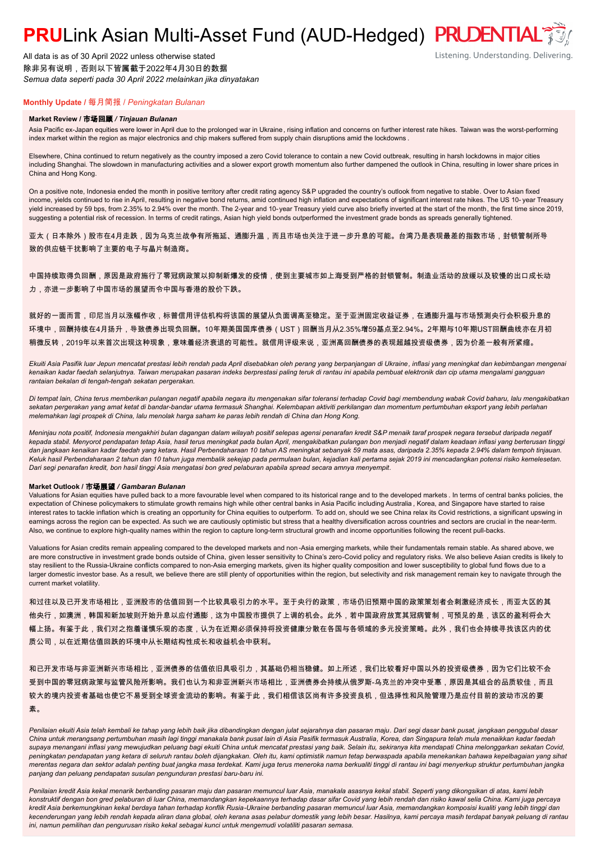## **PRULink Asian Multi-Asset Fund (AUD-Hedged) PRUDENTIAL<sup>7</sup>**

All data is as of 30 April 2022 unless otherwise stated 除非另有说明,否则以下皆属截于2022年4月30日的数据 *Semua data seperti pada 30 April 2022 melainkan jika dinyatakan*

### Listening. Understanding. Delivering.

### **Monthly Update /** 每月简报 / *Peningkatan Bulanan*

#### **Market Review /** 市场回顾 */ Tinjauan Bulanan*

Asia Pacific ex-Japan equities were lower in April due to the prolonged war in Ukraine, rising inflation and concerns on further interest rate hikes. Taiwan was the worst-performing index market within the region as major electronics and chip makers suffered from supply chain disruptions amid the lockdowns .

Elsewhere, China continued to return negatively as the country imposed a zero Covid tolerance to contain a new Covid outbreak, resulting in harsh lockdowns in major cities including Shanghai. The slowdown in manufacturing activities and a slower export growth momentum also further dampened the outlook in China, resulting in lower share prices in China and Hong Kong.

On a positive note, Indonesia ended the month in positive territory after credit rating agency S&P upgraded the country's outlook from negative to stable. Over to Asian fixed income, yields continued to rise in April, resulting in negative bond returns, amid continued high inflation and expectations of significant interest rate hikes. The US 10- year Treasury yield increased by 59 bps, from 2.35% to 2.94% over the month. The 2-year and 10-year Treasury yield curve also briefly inverted at the start of the month, the first time since 2019, suggesting a potential risk of recession. In terms of credit ratings, Asian high yield bonds outperformed the investment grade bonds as spreads generally tightened.

亚太(日本除外)股市在4月走跌,因为乌克兰战争有所拖延、通膨升温,而且市场也关注于进一步升息的可能。台湾乃是表现最差的指数市场,封锁管制所导 致的供应链干扰影响了主要的电子与晶片制造商。

中国持续取得负回酬,原因是政府施行了零冠病政策以抑制新爆发的疫情,使到主要城市如上海受到严格的封锁管制。制造业活动的放缓以及较慢的出口成长动 力,亦进一步影响了中国市场的展望而令中国与香港的股价下跌。

就好的一面而言,印尼当月以涨幅作收,标普信用评估机构将该国的展望从负面调高至稳定。至于亚洲固定收益证券,在通膨升温与市场预测央行会积极升息的 环境中,回酬持续在4月扬升,导致债券出现负回酬。10年期美国国库债券(UST)回酬当月从2.35%增59基点至2.94%。2年期与10年期UST回酬曲线亦在月初 稍微反转,2019年以来首次出现这种现象,意味着经济衰退的可能性。就信用评级来说,亚洲高回酬债券的表现超越投资级债券,因为价差一般有所紧缩。

*Ekuiti Asia Pasifik luar Jepun mencatat prestasi lebih rendah pada April disebabkan oleh perang yang berpanjangan di Ukraine, inflasi yang meningkat dan kebimbangan mengenai kenaikan kadar faedah selanjutnya. Taiwan merupakan pasaran indeks berprestasi paling teruk di rantau ini apabila pembuat elektronik dan cip utama mengalami gangguan rantaian bekalan di tengah-tengah sekatan pergerakan.*

*Di tempat lain, China terus memberikan pulangan negatif apabila negara itu mengenakan sifar toleransi terhadap Covid bagi membendung wabak Covid baharu, lalu mengakibatkan sekatan pergerakan yang amat ketat di bandar-bandar utama termasuk Shanghai. Kelembapan aktiviti perkilangan dan momentum pertumbuhan eksport yang lebih perlahan melemahkan lagi prospek di China, lalu menolak harga saham ke paras lebih rendah di China dan Hong Kong.*

*Meninjau nota positif, Indonesia mengakhiri bulan dagangan dalam wilayah positif selepas agensi penarafan kredit S&P menaik taraf prospek negara tersebut daripada negatif kepada stabil. Menyorot pendapatan tetap Asia, hasil terus meningkat pada bulan April, mengakibatkan pulangan bon menjadi negatif dalam keadaan inflasi yang berterusan tinggi dan jangkaan kenaikan kadar faedah yang ketara. Hasil Perbendaharaan 10 tahun AS meningkat sebanyak 59 mata asas, daripada 2.35% kepada 2.94% dalam tempoh tinjauan. Keluk hasil Perbendaharaan 2 tahun dan 10 tahun juga membalik sekejap pada permulaan bulan, kejadian kali pertama sejak 2019 ini mencadangkan potensi risiko kemelesetan. Dari segi penarafan kredit, bon hasil tinggi Asia mengatasi bon gred pelaburan apabila spread secara amnya menyempit.*

#### **Market Outlook /** 市场展望 */ Gambaran Bulanan*

Valuations for Asian equities have pulled back to a more favourable level when compared to its historical range and to the developed markets . In terms of central banks policies, the expectation of Chinese policymakers to stimulate growth remains high while other central banks in Asia Pacific including Australia , Korea, and Singapore have started to raise interest rates to tackle inflation which is creating an opportunity for China equities to outperform. To add on, should we see China relax its Covid restrictions, a significant upswing in earnings across the region can be expected. As such we are cautiously optimistic but stress that a healthy diversification across countries and sectors are crucial in the near-term. Also, we continue to explore high-quality names within the region to capture long-term structural growth and income opportunities following the recent pull-backs.

Valuations for Asian credits remain appealing compared to the developed markets and non -Asia emerging markets, while their fundamentals remain stable. As shared above, we are more constructive in investment grade bonds outside of China, given lesser sensitivity to China's zero-Covid policy and regulatory risks. We also believe Asian credits is likely to stay resilient to the Russia-Ukraine conflicts compared to non-Asia emerging markets, given its higher quality composition and lower susceptibility to global fund flows due to a larger domestic investor base. As a result, we believe there are still plenty of opportunities within the region, but selectivity and risk management remain key to navigate through the current market volatility.

和过往以及已开发市场相比,亚洲股市的估值回到一个比较具吸引力的水平。至于央行的政策,市场仍旧预期中国的政策策划者会刺激经济成长,而亚太区的其 他央行,如澳洲,韩国和新加坡则开始升息以应付通膨,这为中国股市提供了上调的机会。此外,若中国政府放宽其冠病管制,可预见的是,该区的盈利将会大 幅上扬。有鉴于此,我们对之抱着谨慎乐观的态度,认为在近期必须保持将投资健康分散在各国与各领域的多元投资策略。此外,我们也会持续寻找该区内的优 质公司,以在近期估值回跌的环境中从长期结构性成长和收益机会中获利。

和已开发市场与非亚洲新兴市场相比,亚洲债券的估值依旧具吸引力,其基础仍相当稳健。如上所述,我们比较看好中国以外的投资级债券,因为它们比较不会 受到中国的零冠病政策与监管风险所影响。我们也认为和非亚洲新兴市场相比,亚洲债券会持续从俄罗斯-乌克兰的冲突中受惠,原因是其组合的品质较佳,而且 较大的境内投资者基础也使它不易受到全球资金流动的影响。有鉴于此,我们相信该区尚有许多投资良机,但选择性和风险管理乃是应付目前的波动市况的要 素。

Penilaian ekuiti Asia telah kembali ke tahap yang lebih baik jika dibandingkan dengan julat sejarahnya dan pasaran maju. Dari segi dasar bank pusat, jangkaan penggubal dasar *China untuk merangsang pertumbuhan masih lagi tinggi manakala bank pusat lain di Asia Pasifik termasuk Australia, Korea, dan Singapura telah mula menaikkan kadar faedah supaya menangani inflasi yang mewujudkan peluang bagi ekuiti China untuk mencatat prestasi yang baik. Selain itu, sekiranya kita mendapati China melonggarkan sekatan Covid, peningkatan pendapatan yang ketara di seluruh rantau boleh dijangkakan. Oleh itu, kami optimistik namun tetap berwaspada apabila menekankan bahawa kepelbagaian yang sihat merentas negara dan sektor adalah penting buat jangka masa terdekat. Kami juga terus meneroka nama berkualiti tinggi di rantau ini bagi menyerkup struktur pertumbuhan jangka panjang dan peluang pendapatan susulan pengunduran prestasi baru-baru ini.*

*Penilaian kredit Asia kekal menarik berbanding pasaran maju dan pasaran memuncul luar Asia, manakala asasnya kekal stabil. Seperti yang dikongsikan di atas, kami lebih konstruktif dengan bon gred pelaburan di luar China, memandangkan kepekaannya terhadap dasar sifar Covid yang lebih rendah dan risiko kawal selia China. Kami juga percaya kredit Asia berkemungkinan kekal berdaya tahan terhadap konflik Rusia-Ukraine berbanding pasaran memuncul luar Asia, memandangkan komposisi kualiti yang lebih tinggi dan kecenderungan yang lebih rendah kepada aliran dana global, oleh kerana asas pelabur domestik yang lebih besar. Hasilnya, kami percaya masih terdapat banyak peluang di rantau ini, namun pemilihan dan pengurusan risiko kekal sebagai kunci untuk mengemudi volatiliti pasaran semasa.*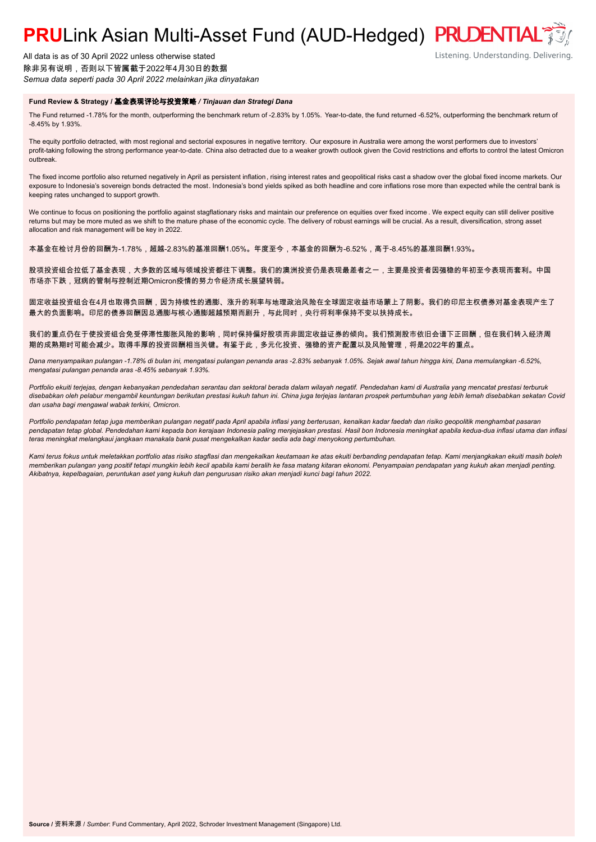# **PRULink Asian Multi-Asset Fund (AUD-Hedged) PRUDENTIAL<sup>®</sup>**

All data is as of 30 April 2022 unless otherwise stated 除非另有说明,否则以下皆属截于2022年4月30日的数据 *Semua data seperti pada 30 April 2022 melainkan jika dinyatakan*

### **Fund Review & Strategy /** 基金表现评论与投资策略 */ Tinjauan dan Strategi Dana*

The Fund returned -1.78% for the month, outperforming the benchmark return of -2.83% by 1.05%. Year-to-date, the fund returned -6.52%, outperforming the benchmark return of -8.45% by 1.93%.

The equity portfolio detracted, with most regional and sectorial exposures in negative territory. Our exposure in Australia were among the worst performers due to investors' profit-taking following the strong performance year-to-date. China also detracted due to a weaker growth outlook given the Covid restrictions and efforts to control the latest Omicron outbreak.

The fixed income portfolio also returned negatively in April as persistent inflation, rising interest rates and geopolitical risks cast a shadow over the global fixed income markets. Our exposure to Indonesia's sovereign bonds detracted the most. Indonesia's bond yields spiked as both headline and core inflations rose more than expected while the central bank is keeping rates unchanged to support growth.

We continue to focus on positioning the portfolio against stagflationary risks and maintain our preference on equities over fixed income . We expect equity can still deliver positive returns but may be more muted as we shift to the mature phase of the economic cycle. The delivery of robust earnings will be crucial. As a result, diversification, strong asset allocation and risk management will be key in 2022.

本基金在检讨月份的回酬为-1.78%,超越-2.83%的基准回酬1.05%。年度至今,本基金的回酬为-6.52%,高于-8.45%的基准回酬1.93%。

股项投资组合拉低了基金表现,大多数的区域与领域投资都往下调整。我们的澳洲投资仍是表现最差者之一,主要是投资者因强稳的年初至今表现而套利。中国 市场亦下跌,冠病的管制与控制近期Omicron疫情的努力令经济成长展望转弱。

固定收益投资组合在4月也取得负回酬,因为持续性的通膨、涨升的利率与地理政治风险在全球固定收益市场蒙上了阴影。我们的印尼主权债券对基金表现产生了 最大的负面影响。印尼的债券回酬因总通膨与核心通膨超越预期而剧升,与此同时,央行将利率保持不变以扶持成长。

我们的重点仍在于使投资组合免受停滞性膨胀风险的影响,同时保持偏好股项而非固定收益证券的倾向。我们预测股市依旧会谱下正回酬,但在我们转入经济周 期的成熟期时可能会减少。取得丰厚的投资回酬相当关键。有鉴于此,多元化投资、强稳的资产配置以及风险管理,将是2022年的重点。

*Dana menyampaikan pulangan -1.78% di bulan ini, mengatasi pulangan penanda aras -2.83% sebanyak 1.05%. Sejak awal tahun hingga kini, Dana memulangkan -6.52%, mengatasi pulangan penanda aras -8.45% sebanyak 1.93%.*

*Portfolio ekuiti terjejas, dengan kebanyakan pendedahan serantau dan sektoral berada dalam wilayah negatif. Pendedahan kami di Australia yang mencatat prestasi terburuk disebabkan oleh pelabur mengambil keuntungan berikutan prestasi kukuh tahun ini. China juga terjejas lantaran prospek pertumbuhan yang lebih lemah disebabkan sekatan Covid dan usaha bagi mengawal wabak terkini, Omicron.*

*Portfolio pendapatan tetap juga memberikan pulangan negatif pada April apabila inflasi yang berterusan, kenaikan kadar faedah dan risiko geopolitik menghambat pasaran pendapatan tetap global. Pendedahan kami kepada bon kerajaan Indonesia paling menjejaskan prestasi. Hasil bon Indonesia meningkat apabila kedua-dua inflasi utama dan inflasi teras meningkat melangkaui jangkaan manakala bank pusat mengekalkan kadar sedia ada bagi menyokong pertumbuhan.*

*Kami terus fokus untuk meletakkan portfolio atas risiko stagflasi dan mengekalkan keutamaan ke atas ekuiti berbanding pendapatan tetap. Kami menjangkakan ekuiti masih boleh memberikan pulangan yang positif tetapi mungkin lebih kecil apabila kami beralih ke fasa matang kitaran ekonomi. Penyampaian pendapatan yang kukuh akan menjadi penting. Akibatnya, kepelbagaian, peruntukan aset yang kukuh dan pengurusan risiko akan menjadi kunci bagi tahun 2022.*